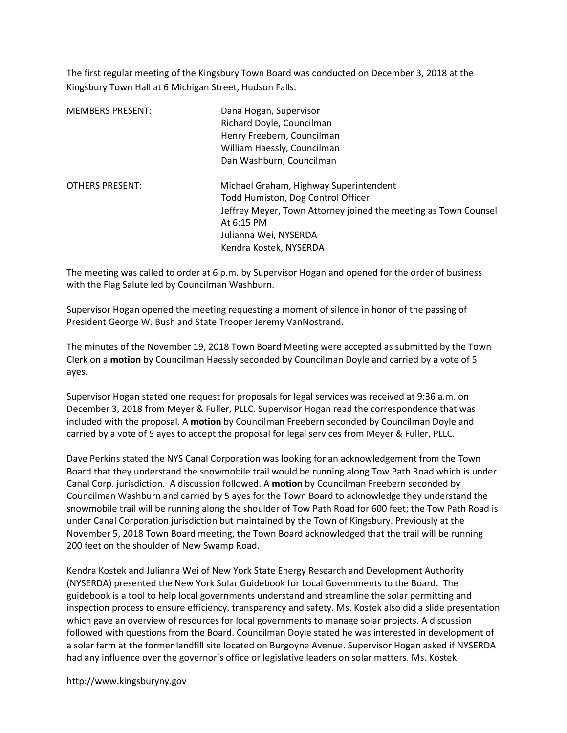The first regular meeting of the Kingsbury Town Board was conducted on December 3, 2018 at the Kingsbury Town Hall at 6 Michigan Street, Hudson Falls.

| <b>MEMBERS PRESENT:</b> | Dana Hogan, Supervisor<br>Richard Doyle, Councilman<br>Henry Freebern, Councilman<br>William Haessly, Councilman<br>Dan Washburn, Councilman                                                                     |
|-------------------------|------------------------------------------------------------------------------------------------------------------------------------------------------------------------------------------------------------------|
| <b>OTHERS PRESENT:</b>  | Michael Graham, Highway Superintendent<br>Todd Humiston, Dog Control Officer<br>Jeffrey Meyer, Town Attorney joined the meeting as Town Counsel<br>At 6:15 PM<br>Julianna Wei, NYSERDA<br>Kendra Kostek, NYSERDA |

The meeting was called to order at 6 p.m. by Supervisor Hogan and opened for the order of business with the Flag Salute led by Councilman Washburn.

Supervisor Hogan opened the meeting requesting a moment of silence in honor of the passing of President George W. Bush and State Trooper Jeremy VanNostrand.

The minutes of the November 19, 2018 Town Board Meeting were accepted as submitted by the Town Clerk on a motion by Councilman Haessly seconded by Councilman Doyle and carried by a vote of 5 ayes.

Supervisor Hogan stated one request for proposals for legal services was received at 9:36 a.m. on December 3, 2018 from Meyer & Fuller, PLLC. Supervisor Hogan read the correspondence that was included with the proposal. A motion by Councilman Freebern seconded by Councilman Doyle and carried by a vote of 5 ayes to accept the proposal for legal services from Meyer & Fuller, PLLC.

Dave Perkins stated the NYS Canal Corporation was looking for an acknowledgement from the Town Board that they understand the snowmobile trail would be running along Tow Path Road which is under Canal Corp. jurisdiction. A discussion followed. A motion by Councilman Freebern seconded by Councilman Washburn and carried by 5 ayes for the Town Board to acknowledge they understand the snowmobile trail will be running along the shoulder of Tow Path Road for 600 feet; the Tow Path Road is under Canal Corporation jurisdiction but maintained by the Town of Kingsbury. Previously at the November 5, 2018 Town Board meeting, the Town Board acknowledged that the trail will be running 200 feet on the shoulder of New Swamp Road.

Kendra Kostek and Julianna Wei of New York State Energy Research and Development Authority (NYSERDA) presented the New York Solar Guidebook for Local Governments to the Board. The guidebook is a tool to help local governments understand and streamline the solar permitting and inspection process to ensure efficiency, transparency and safety. Ms. Kostek also did a slide presentation which gave an overview of resources for local governments to manage solar projects. A discussion followed with questions from the Board. Councilman Doyle stated he was interested in development of a solar farm at the former landfill site located on Burgoyne Avenue. Supervisor Hogan asked if NYSERDA had any influence over the governor's office or legislative leaders on solar matters. Ms. Kostek

http://www.kingsburyny.gov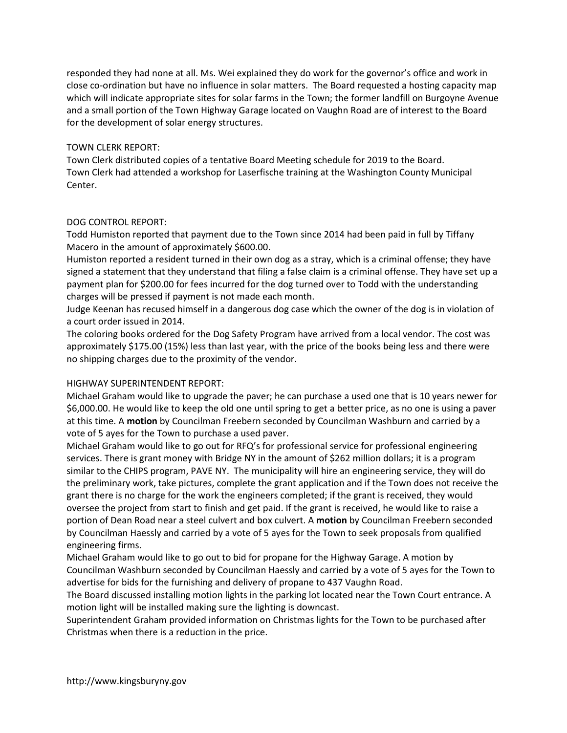responded they had none at all. Ms. Wei explained they do work for the governor's office and work in close co-ordination but have no influence in solar matters. The Board requested a hosting capacity map which will indicate appropriate sites for solar farms in the Town; the former landfill on Burgoyne Avenue and a small portion of the Town Highway Garage located on Vaughn Road are of interest to the Board for the development of solar energy structures.

## TOWN CLERK REPORT:

Town Clerk distributed copies of a tentative Board Meeting schedule for 2019 to the Board. Town Clerk had attended a workshop for Laserfische training at the Washington County Municipal Center.

## DOG CONTROL REPORT:

Todd Humiston reported that payment due to the Town since 2014 had been paid in full by Tiffany Macero in the amount of approximately \$600.00.

Humiston reported a resident turned in their own dog as a stray, which is a criminal offense; they have signed a statement that they understand that filing a false claim is a criminal offense. They have set up a payment plan for \$200.00 for fees incurred for the dog turned over to Todd with the understanding charges will be pressed if payment is not made each month.

Judge Keenan has recused himself in a dangerous dog case which the owner of the dog is in violation of a court order issued in 2014.

The coloring books ordered for the Dog Safety Program have arrived from a local vendor. The cost was approximately \$175.00 (15%) less than last year, with the price of the books being less and there were no shipping charges due to the proximity of the vendor.

# HIGHWAY SUPERINTENDENT REPORT:

Michael Graham would like to upgrade the paver; he can purchase a used one that is 10 years newer for \$6,000.00. He would like to keep the old one until spring to get a better price, as no one is using a paver at this time. A motion by Councilman Freebern seconded by Councilman Washburn and carried by a vote of 5 ayes for the Town to purchase a used paver.

Michael Graham would like to go out for RFQ's for professional service for professional engineering services. There is grant money with Bridge NY in the amount of \$262 million dollars; it is a program similar to the CHIPS program, PAVE NY. The municipality will hire an engineering service, they will do the preliminary work, take pictures, complete the grant application and if the Town does not receive the grant there is no charge for the work the engineers completed; if the grant is received, they would oversee the project from start to finish and get paid. If the grant is received, he would like to raise a portion of Dean Road near a steel culvert and box culvert. A motion by Councilman Freebern seconded by Councilman Haessly and carried by a vote of 5 ayes for the Town to seek proposals from qualified engineering firms.

Michael Graham would like to go out to bid for propane for the Highway Garage. A motion by Councilman Washburn seconded by Councilman Haessly and carried by a vote of 5 ayes for the Town to advertise for bids for the furnishing and delivery of propane to 437 Vaughn Road.

The Board discussed installing motion lights in the parking lot located near the Town Court entrance. A motion light will be installed making sure the lighting is downcast.

Superintendent Graham provided information on Christmas lights for the Town to be purchased after Christmas when there is a reduction in the price.